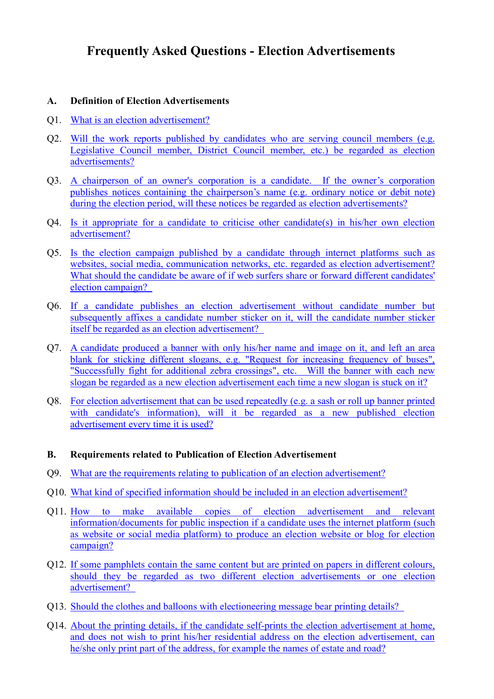# <span id="page-0-0"></span>**Frequently Asked Questions - Election Advertisements**

# **A. Definition of Election Advertisements**

- Q1. What is an [election advertisement?](#page-2-0)
- Q2. Will the work reports [published by candidates who are serving council members \(e.g.](#page-2-1)  [Legislative Council member, District Council member, etc.\)](#page-2-1) be regarded as election [advertisements?](#page-2-1)
- Q3. A chairperson [of an owner's corporation is a candidate. If the owner](#page-2-2)'s corporation publishes [notices containing the chairperson](#page-2-2)'s name (e.g. ordinary notice or debit note) [during the election period, will these notices be regarded as election advertisements?](#page-2-2)
- Q4. [Is it appropriate for a candidate to criticise other candidate\(s\) in his/her own election](#page-3-0)  [advertisement?](#page-3-0)
- Q5. [Is the election campaign published by a candidate through internet platforms such as](#page-3-1)  [websites, social media, communication networks,](#page-3-1) etc. regarded as election advertisement? [What should the candidate be aware of if web surfers](#page-3-1) share or forward different candidates' [election campaign?](#page-3-1)
- Q6. If a candidate publishes [an election advertisement without candidate number but](#page-4-0)  subsequently affixes [a candidate number sticker on it, will the candidate number sticker](#page-4-0)  [itself be regarded as an election advertisement?](#page-4-0)
- Q7. A [candidate produced a banner with only his/her name and image](#page-4-1) on it, and left an area [blank for sticking different slogans, e.g. "Request for increasing frequency of buses",](#page-4-1)  ["Successfully fight for additional zebra crossings",](#page-4-1) etc. Will the banner with each new [slogan be regarded as a new election advertisement](#page-4-1) each time a new slogan is stuck on it?
- Q8. For election advertisement that can be used repeatedly [\(e.g. a sash or roll up banner printed](#page-4-2)  with candidate's information), will it be regarded as a new published election [advertisement every time it is](#page-4-2) used?

## **B. Requirements related to Publication of Election Advertisement**

- Q9. [What are the requirements relating to publication of an election advertisement?](#page-5-0)
- Q10. [What kind of specified information should be included in an election advertisement?](#page-6-0)
- Q11. How to make available [copies of election advertisement and relevant](#page-6-1)  [information/documents for public inspection if a candidate uses the internet platform](#page-6-1) (such [as website or social media platform\) to produce an election website or blog for election](#page-6-1)  [campaign?](#page-6-1)
- Q12. [If some pamphlets contain the same content but are](#page-6-2) printed on papers in different colours, [should they be regarded as two different election advertisements or one election](#page-6-2) [advertisement?](#page-6-2)
- Q13. Should the clothes and balloons [with electioneering message bear printing details?](#page-7-0)
- Q14. About the printing details, if the candidate self-prints [the election advertisement at home,](#page-7-1)  [and does not wish to print his/her residential address on the election advertisement, can](#page-7-1)  [he/she only print part of the address, for example the names of estate and road?](#page-7-1)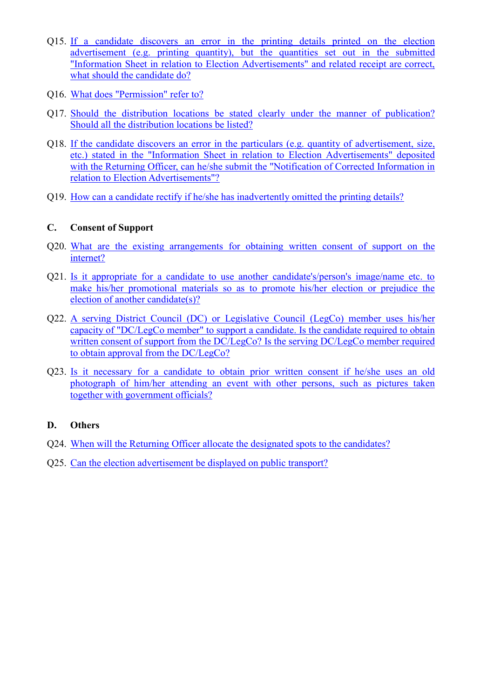- Q15. If a candidate discovers [an error in the printing details printed on the election](#page-7-2)  [advertisement \(e.g. printing quantity\), but the quantities](#page-7-2) set out in the submitted ["Information Sheet in relation to Election Advertisements" and related receipt are correct,](#page-7-2)  [what should the candidate do?](#page-7-2)
- Q16. What does ["Permission"](#page-7-3) refer to?
- Q17. [Should the distribution locations be stated clearly under the manner of publication?](#page-8-0)  [Should all the distribution locations be listed?](#page-8-0)
- Q18. [If the candidate discovers an error in the particulars \(e.g. quantity of advertisement, size,](#page-8-1)  etc.) stated in [the "Information Sheet in relation to Election Advertisements" deposited](#page-8-1)  with the Returning Officer, can he/she submit the "Notification of Corrected Information in [relation to Election Advertisements"?](#page-8-1)
- Q19. How can a [candidate rectify if he/she has inadvertently omitted the printing details?](#page-8-2)

# **C. Consent of Support**

- Q20. [What are the existing arrangements for obtaining written consent of](#page-8-3) support on the [internet?](#page-8-3)
- Q21. [Is it appropriate for a candidate to use another candidate's/person's image/name etc. to](#page-9-0)  make his/her promotional materials so as [to promote his/her election or prejudice the](#page-9-0)  [election of another candidate\(s\)?](#page-9-0)
- Q22. [A serving District Council \(DC\) or Legislative Council \(LegCo\) member uses his/her](#page-9-1)  capacity of "DC/LegCo [member" to support a candidate.](#page-9-1) Is the candidate required to obtain [written consent of support from the DC/LegCo?](#page-9-1) Is the serving DC/LegCo member required [to obtain approval from the DC/LegCo?](#page-9-1)
- Q23. [Is it necessary for a candidate to obtain prior](#page-10-0) written consent if he/she uses an old photograph [of him/her attending an event with other persons, such as](#page-10-0) pictures taken [together with government officials?](#page-10-0)

# **D. Others**

- Q24. [When will the Returning Officer allocate the designated spots](#page-10-1) to the candidates?
- Q25. [Can the election advertisement be displayed on public transport?](#page-10-2)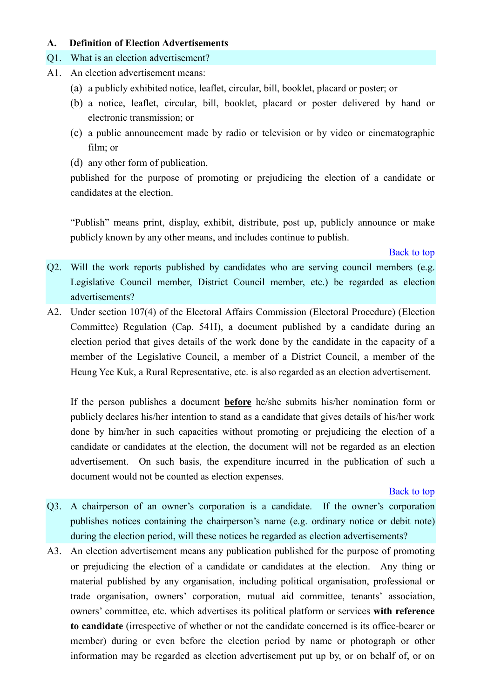## **A. Definition of Election Advertisements**

# <span id="page-2-0"></span>Q1. What is an election advertisement?

- A1. An election advertisement means:
	- (a) a publicly exhibited notice, leaflet, circular, bill, booklet, placard or poster; or
	- (b) a notice, leaflet, circular, bill, booklet, placard or poster delivered by hand or electronic transmission; or
	- (c) a public announcement made by radio or television or by video or cinematographic film; or
	- (d) any other form of publication,

published for the purpose of promoting or prejudicing the election of a candidate or candidates at the election.

"Publish" means print, display, exhibit, distribute, post up, publicly announce or make publicly known by any other means, and includes continue to publish.

## [Back to top](#page-0-0)

- <span id="page-2-1"></span>Q2. Will the work reports published by candidates who are serving council members (e.g. Legislative Council member, District Council member, etc.) be regarded as election advertisements?
- A2. Under section 107(4) of the Electoral Affairs Commission (Electoral Procedure) (Election Committee) Regulation (Cap. 541I), a document published by a candidate during an election period that gives details of the work done by the candidate in the capacity of a member of the Legislative Council, a member of a District Council, a member of the Heung Yee Kuk, a Rural Representative, etc. is also regarded as an election advertisement.

If the person publishes a document **before** he/she submits his/her nomination form or publicly declares his/her intention to stand as a candidate that gives details of his/her work done by him/her in such capacities without promoting or prejudicing the election of a candidate or candidates at the election, the document will not be regarded as an election advertisement. On such basis, the expenditure incurred in the publication of such a document would not be counted as election expenses.

- <span id="page-2-2"></span>Q3. A chairperson of an owner's corporation is a candidate. If the owner's corporation publishes notices containing the chairperson's name (e.g. ordinary notice or debit note) during the election period, will these notices be regarded as election advertisements?
- A3. An election advertisement means any publication published for the purpose of promoting or prejudicing the election of a candidate or candidates at the election. Any thing or material published by any organisation, including political organisation, professional or trade organisation, owners' corporation, mutual aid committee, tenants' association, owners' committee, etc. which advertises its political platform or services **with reference to candidate** (irrespective of whether or not the candidate concerned is its office-bearer or member) during or even before the election period by name or photograph or other information may be regarded as election advertisement put up by, or on behalf of, or on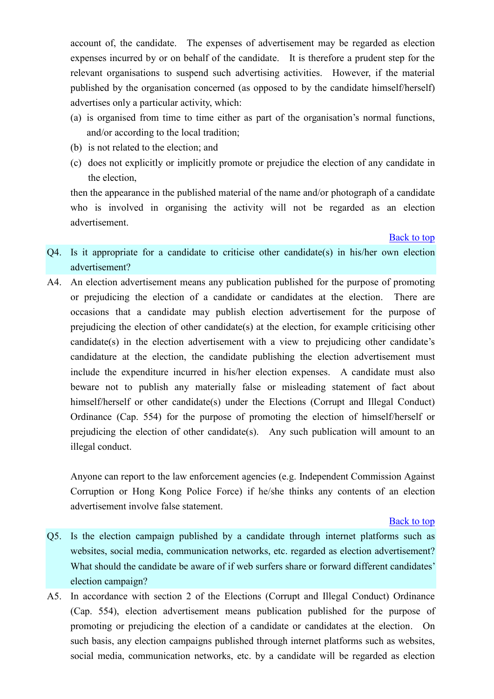account of, the candidate. The expenses of advertisement may be regarded as election expenses incurred by or on behalf of the candidate. It is therefore a prudent step for the relevant organisations to suspend such advertising activities. However, if the material published by the organisation concerned (as opposed to by the candidate himself/herself) advertises only a particular activity, which:

- (a) is organised from time to time either as part of the organisation's normal functions, and/or according to the local tradition;
- (b) is not related to the election; and
- (c) does not explicitly or implicitly promote or prejudice the election of any candidate in the election,

then the appearance in the published material of the name and/or photograph of a candidate who is involved in organising the activity will not be regarded as an election advertisement.

[Back to top](#page-0-0)

- <span id="page-3-0"></span>Q4. Is it appropriate for a candidate to criticise other candidate(s) in his/her own election advertisement?
- A4. An election advertisement means any publication published for the purpose of promoting or prejudicing the election of a candidate or candidates at the election. There are occasions that a candidate may publish election advertisement for the purpose of prejudicing the election of other candidate(s) at the election, for example criticising other candidate(s) in the election advertisement with a view to prejudicing other candidate's candidature at the election, the candidate publishing the election advertisement must include the expenditure incurred in his/her election expenses. A candidate must also beware not to publish any materially false or misleading statement of fact about himself/herself or other candidate(s) under the Elections (Corrupt and Illegal Conduct) Ordinance (Cap. 554) for the purpose of promoting the election of himself/herself or prejudicing the election of other candidate(s). Any such publication will amount to an illegal conduct.

Anyone can report to the law enforcement agencies (e.g. Independent Commission Against Corruption or Hong Kong Police Force) if he/she thinks any contents of an election advertisement involve false statement.

- <span id="page-3-1"></span>Q5. Is the election campaign published by a candidate through internet platforms such as websites, social media, communication networks, etc. regarded as election advertisement? What should the candidate be aware of if web surfers share or forward different candidates' election campaign?
- A5. In accordance with section 2 of the Elections (Corrupt and Illegal Conduct) Ordinance (Cap. 554), election advertisement means publication published for the purpose of promoting or prejudicing the election of a candidate or candidates at the election. On such basis, any election campaigns published through internet platforms such as websites, social media, communication networks, etc. by a candidate will be regarded as election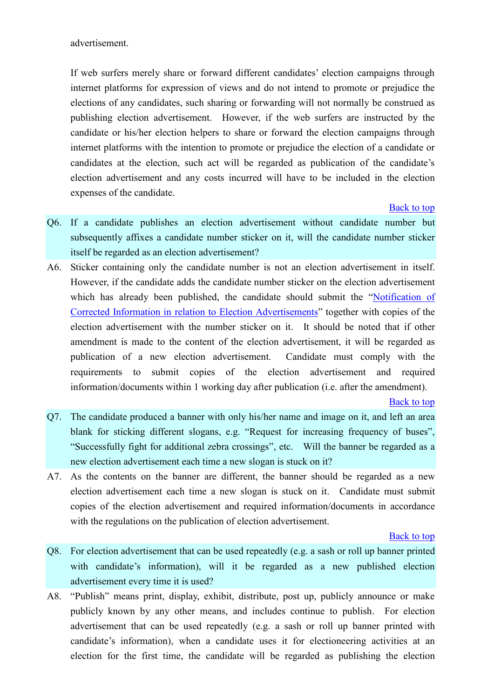advertisement.

If web surfers merely share or forward different candidates' election campaigns through internet platforms for expression of views and do not intend to promote or prejudice the elections of any candidates, such sharing or forwarding will not normally be construed as publishing election advertisement. However, if the web surfers are instructed by the candidate or his/her election helpers to share or forward the election campaigns through internet platforms with the intention to promote or prejudice the election of a candidate or candidates at the election, such act will be regarded as publication of the candidate's election advertisement and any costs incurred will have to be included in the election expenses of the candidate.

[Back to top](#page-0-0)

- <span id="page-4-0"></span>Q6. If a candidate publishes an election advertisement without candidate number but subsequently affixes a candidate number sticker on it, will the candidate number sticker itself be regarded as an election advertisement?
- A6. Sticker containing only the candidate number is not an election advertisement in itself. However, if the candidate adds the candidate number sticker on the election advertisement which has already been published, the candidate should submit the "Notification of [Corrected Information in relation to Election Advertisements](http://www.reo.gov.hk/pdf/2016ecse/REO_C_11(2016_ECSSE)(SF).pdf)" together with copies of the election advertisement with the number sticker on it. It should be noted that if other amendment is made to the content of the election advertisement, it will be regarded as publication of a new election advertisement. Candidate must comply with the requirements to submit copies of the election advertisement and required information/documents within 1 working day after publication (i.e. after the amendment).

[Back to top](#page-0-0)

- <span id="page-4-1"></span>Q7. The candidate produced a banner with only his/her name and image on it, and left an area blank for sticking different slogans, e.g. "Request for increasing frequency of buses", "Successfully fight for additional zebra crossings", etc. Will the banner be regarded as a new election advertisement each time a new slogan is stuck on it?
- A7. As the contents on the banner are different, the banner should be regarded as a new election advertisement each time a new slogan is stuck on it. Candidate must submit copies of the election advertisement and required information/documents in accordance with the regulations on the publication of election advertisement.

- <span id="page-4-2"></span>Q8. For election advertisement that can be used repeatedly (e.g. a sash or roll up banner printed with candidate's information), will it be regarded as a new published election advertisement every time it is used?
- A8. "Publish" means print, display, exhibit, distribute, post up, publicly announce or make publicly known by any other means, and includes continue to publish. For election advertisement that can be used repeatedly (e.g. a sash or roll up banner printed with candidate's information), when a candidate uses it for electioneering activities at an election for the first time, the candidate will be regarded as publishing the election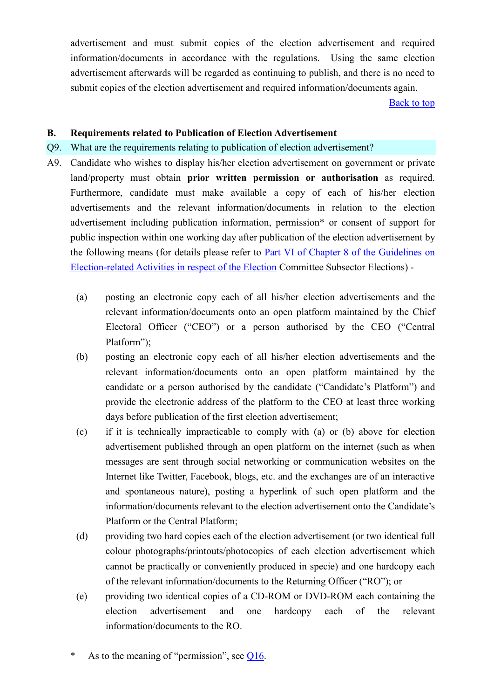advertisement and must submit copies of the election advertisement and required information/documents in accordance with the regulations. Using the same election advertisement afterwards will be regarded as continuing to publish, and there is no need to submit copies of the election advertisement and required information/documents again.

[Back to top](#page-0-0)

## **B. Requirements related to Publication of Election Advertisement**

## <span id="page-5-0"></span>Q9. What are the requirements relating to publication of election advertisement?

- A9. Candidate who wishes to display his/her election advertisement on government or private land/property must obtain **prior written permission or authorisation** as required. Furthermore, candidate must make available a copy of each of his/her election advertisements and the relevant information/documents in relation to the election advertisement including publication information, permission\* or consent of support for public inspection within one working day after publication of the election advertisement by the following means (for details please refer to Part VI of Chapter 8 of the Guidelines on [Election-related Activities in respect of the Election](http://www.eac.gov.hk/pdf/ecse/en/2016ecse/guidelines/2016ecse_Chapter_8.pdf) Committee Subsector Elections) -
	- (a) posting an electronic copy each of all his/her election advertisements and the relevant information/documents onto an open platform maintained by the Chief Electoral Officer ("CEO") or a person authorised by the CEO ("Central Platform");
	- (b) posting an electronic copy each of all his/her election advertisements and the relevant information/documents onto an open platform maintained by the candidate or a person authorised by the candidate ("Candidate's Platform") and provide the electronic address of the platform to the CEO at least three working days before publication of the first election advertisement;
	- (c) if it is technically impracticable to comply with (a) or (b) above for election advertisement published through an open platform on the internet (such as when messages are sent through social networking or communication websites on the Internet like Twitter, Facebook, blogs, etc. and the exchanges are of an interactive and spontaneous nature), posting a hyperlink of such open platform and the information/documents relevant to the election advertisement onto the Candidate's Platform or the Central Platform;
	- (d) providing two hard copies each of the election advertisement (or two identical full colour photographs/printouts/photocopies of each election advertisement which cannot be practically or conveniently produced in specie) and one hardcopy each of the relevant information/documents to the Returning Officer ("RO"); or
	- (e) providing two identical copies of a CD-ROM or DVD-ROM each containing the election advertisement and one hardcopy each of the relevant information/documents to the RO.
	- As to the meaning of "permission", see  $Q16$ .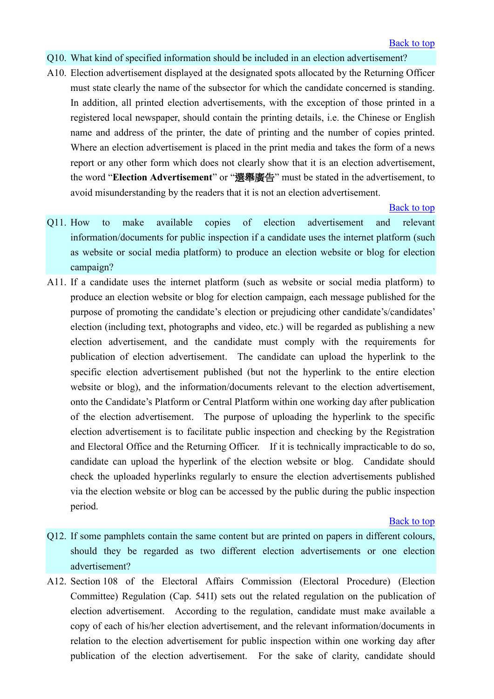## <span id="page-6-0"></span>Q10. What kind of specified information should be included in an election advertisement?

A10. Election advertisement displayed at the designated spots allocated by the Returning Officer must state clearly the name of the subsector for which the candidate concerned is standing. In addition, all printed election advertisements, with the exception of those printed in a registered local newspaper, should contain the printing details, i.e. the Chinese or English name and address of the printer, the date of printing and the number of copies printed. Where an election advertisement is placed in the print media and takes the form of a news report or any other form which does not clearly show that it is an election advertisement, the word "**Election Advertisement**" or "選舉廣告" must be stated in the advertisement, to avoid misunderstanding by the readers that it is not an election advertisement.

## [Back to top](#page-0-0)

- <span id="page-6-1"></span>Q11. How to make available copies of election advertisement and relevant information/documents for public inspection if a candidate uses the internet platform (such as website or social media platform) to produce an election website or blog for election campaign?
- A11. If a candidate uses the internet platform (such as website or social media platform) to produce an election website or blog for election campaign, each message published for the purpose of promoting the candidate's election or prejudicing other candidate's/candidates' election (including text, photographs and video, etc.) will be regarded as publishing a new election advertisement, and the candidate must comply with the requirements for publication of election advertisement. The candidate can upload the hyperlink to the specific election advertisement published (but not the hyperlink to the entire election website or blog), and the information/documents relevant to the election advertisement, onto the Candidate's Platform or Central Platform within one working day after publication of the election advertisement. The purpose of uploading the hyperlink to the specific election advertisement is to facilitate public inspection and checking by the Registration and Electoral Office and the Returning Officer. If it is technically impracticable to do so, candidate can upload the hyperlink of the election website or blog. Candidate should check the uploaded hyperlinks regularly to ensure the election advertisements published via the election website or blog can be accessed by the public during the public inspection period.

- <span id="page-6-2"></span>Q12. If some pamphlets contain the same content but are printed on papers in different colours, should they be regarded as two different election advertisements or one election advertisement?
- A12. Section 108 of the Electoral Affairs Commission (Electoral Procedure) (Election Committee) Regulation (Cap. 541I) sets out the related regulation on the publication of election advertisement. According to the regulation, candidate must make available a copy of each of his/her election advertisement, and the relevant information/documents in relation to the election advertisement for public inspection within one working day after publication of the election advertisement. For the sake of clarity, candidate should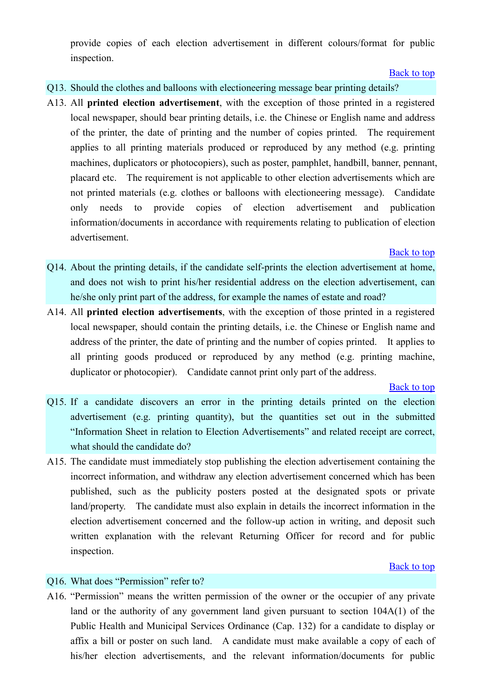provide copies of each election advertisement in different colours/format for public inspection.

## [Back to top](#page-0-0)

## <span id="page-7-0"></span>Q13. Should the clothes and balloons with electioneering message bear printing details?

A13. All **printed election advertisement**, with the exception of those printed in a registered local newspaper, should bear printing details, i.e. the Chinese or English name and address of the printer, the date of printing and the number of copies printed. The requirement applies to all printing materials produced or reproduced by any method (e.g. printing machines, duplicators or photocopiers), such as poster, pamphlet, handbill, banner, pennant, placard etc. The requirement is not applicable to other election advertisements which are not printed materials (e.g. clothes or balloons with electioneering message). Candidate only needs to provide copies of election advertisement and publication information/documents in accordance with requirements relating to publication of election advertisement.

## [Back to top](#page-0-0)

- <span id="page-7-1"></span>Q14. About the printing details, if the candidate self-prints the election advertisement at home, and does not wish to print his/her residential address on the election advertisement, can he/she only print part of the address, for example the names of estate and road?
- A14. All **printed election advertisements**, with the exception of those printed in a registered local newspaper, should contain the printing details, i.e. the Chinese or English name and address of the printer, the date of printing and the number of copies printed. It applies to all printing goods produced or reproduced by any method (e.g. printing machine, duplicator or photocopier). Candidate cannot print only part of the address.

#### [Back to top](#page-0-0)

- <span id="page-7-2"></span>Q15. If a candidate discovers an error in the printing details printed on the election advertisement (e.g. printing quantity), but the quantities set out in the submitted "Information Sheet in relation to Election Advertisements" and related receipt are correct, what should the candidate do?
- A15. The candidate must immediately stop publishing the election advertisement containing the incorrect information, and withdraw any election advertisement concerned which has been published, such as the publicity posters posted at the designated spots or private land/property. The candidate must also explain in details the incorrect information in the election advertisement concerned and the follow-up action in writing, and deposit such written explanation with the relevant Returning Officer for record and for public inspection.

## [Back to top](#page-0-0)

# <span id="page-7-3"></span>Q16. What does "Permission" refer to?

A16. "Permission" means the written permission of the owner or the occupier of any private land or the authority of any government land given pursuant to section 104A(1) of the Public Health and Municipal Services Ordinance (Cap. 132) for a candidate to display or affix a bill or poster on such land. A candidate must make available a copy of each of his/her election advertisements, and the relevant information/documents for public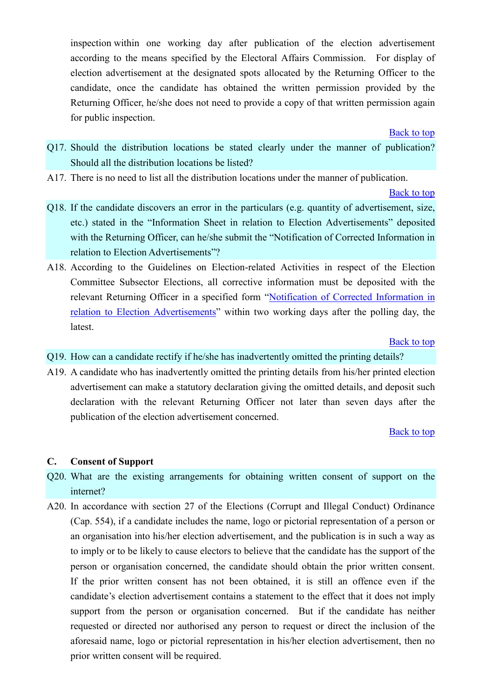inspection within one working day after publication of the election advertisement according to the means specified by the Electoral Affairs Commission. For display of election advertisement at the designated spots allocated by the Returning Officer to the candidate, once the candidate has obtained the written permission provided by the Returning Officer, he/she does not need to provide a copy of that written permission again for public inspection.

[Back to top](#page-0-0)

- <span id="page-8-0"></span>Q17. Should the distribution locations be stated clearly under the manner of publication? Should all the distribution locations be listed?
- A17. There is no need to list all the distribution locations under the manner of publication.

[Back to top](#page-0-0)

- <span id="page-8-1"></span>Q18. If the candidate discovers an error in the particulars (e.g. quantity of advertisement, size, etc.) stated in the "Information Sheet in relation to Election Advertisements" deposited with the Returning Officer, can he/she submit the "Notification of Corrected Information in relation to Election Advertisements"?
- A18. According to the Guidelines on Election-related Activities in respect of the Election Committee Subsector Elections, all corrective information must be deposited with the relevant Returning Officer in a specified form "[Notification of Corrected Information in](http://www.reo.gov.hk/pdf/2016ecse/REO_C_11(2016_ECSSE)(SF).pdf)  [relation to Election Advertisements](http://www.reo.gov.hk/pdf/2016ecse/REO_C_11(2016_ECSSE)(SF).pdf)" within two working days after the polling day, the latest.

[Back to top](#page-0-0)

- <span id="page-8-2"></span>Q19. How can a candidate rectify if he/she has inadvertently omitted the printing details?
- A19. A candidate who has inadvertently omitted the printing details from his/her printed election advertisement can make a statutory declaration giving the omitted details, and deposit such declaration with the relevant Returning Officer not later than seven days after the publication of the election advertisement concerned.

## [Back to top](#page-0-0)

## **C. Consent of Support**

- <span id="page-8-3"></span>Q20. What are the existing arrangements for obtaining written consent of support on the internet?
- A20. In accordance with section 27 of the Elections (Corrupt and Illegal Conduct) Ordinance (Cap. 554), if a candidate includes the name, logo or pictorial representation of a person or an organisation into his/her election advertisement, and the publication is in such a way as to imply or to be likely to cause electors to believe that the candidate has the support of the person or organisation concerned, the candidate should obtain the prior written consent. If the prior written consent has not been obtained, it is still an offence even if the candidate's election advertisement contains a statement to the effect that it does not imply support from the person or organisation concerned. But if the candidate has neither requested or directed nor authorised any person to request or direct the inclusion of the aforesaid name, logo or pictorial representation in his/her election advertisement, then no prior written consent will be required.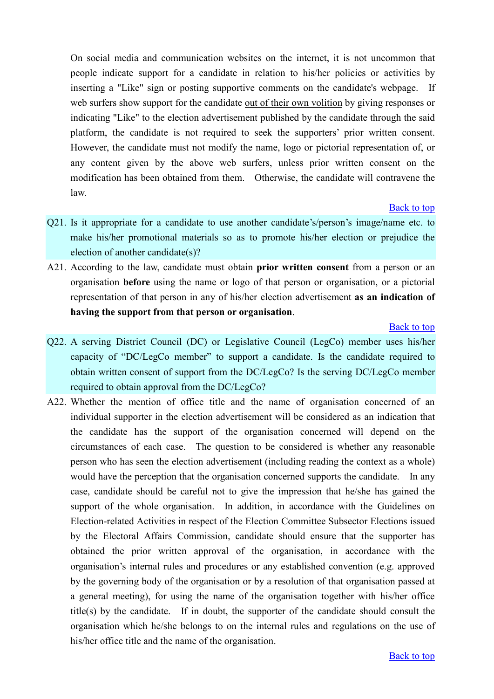On social media and communication websites on the internet, it is not uncommon that people indicate support for a candidate in relation to his/her policies or activities by inserting a "Like" sign or posting supportive comments on the candidate's webpage. If web surfers show support for the candidate out of their own volition by giving responses or indicating "Like" to the election advertisement published by the candidate through the said platform, the candidate is not required to seek the supporters' prior written consent. However, the candidate must not modify the name, logo or pictorial representation of, or any content given by the above web surfers, unless prior written consent on the modification has been obtained from them. Otherwise, the candidate will contravene the law.

#### [Back to top](#page-0-0)

- <span id="page-9-0"></span>Q21. Is it appropriate for a candidate to use another candidate's/person's image/name etc. to make his/her promotional materials so as to promote his/her election or prejudice the election of another candidate(s)?
- A21. According to the law, candidate must obtain **prior written consent** from a person or an organisation **before** using the name or logo of that person or organisation, or a pictorial representation of that person in any of his/her election advertisement **as an indication of having the support from that person or organisation**.

- <span id="page-9-1"></span>Q22. A serving District Council (DC) or Legislative Council (LegCo) member uses his/her capacity of "DC/LegCo member" to support a candidate. Is the candidate required to obtain written consent of support from the DC/LegCo? Is the serving DC/LegCo member required to obtain approval from the DC/LegCo?
- A22. Whether the mention of office title and the name of organisation concerned of an individual supporter in the election advertisement will be considered as an indication that the candidate has the support of the organisation concerned will depend on the circumstances of each case. The question to be considered is whether any reasonable person who has seen the election advertisement (including reading the context as a whole) would have the perception that the organisation concerned supports the candidate. In any case, candidate should be careful not to give the impression that he/she has gained the support of the whole organisation. In addition, in accordance with the Guidelines on Election-related Activities in respect of the Election Committee Subsector Elections issued by the Electoral Affairs Commission, candidate should ensure that the supporter has obtained the prior written approval of the organisation, in accordance with the organisation's internal rules and procedures or any established convention (e.g. approved by the governing body of the organisation or by a resolution of that organisation passed at a general meeting), for using the name of the organisation together with his/her office title(s) by the candidate. If in doubt, the supporter of the candidate should consult the organisation which he/she belongs to on the internal rules and regulations on the use of his/her office title and the name of the organisation.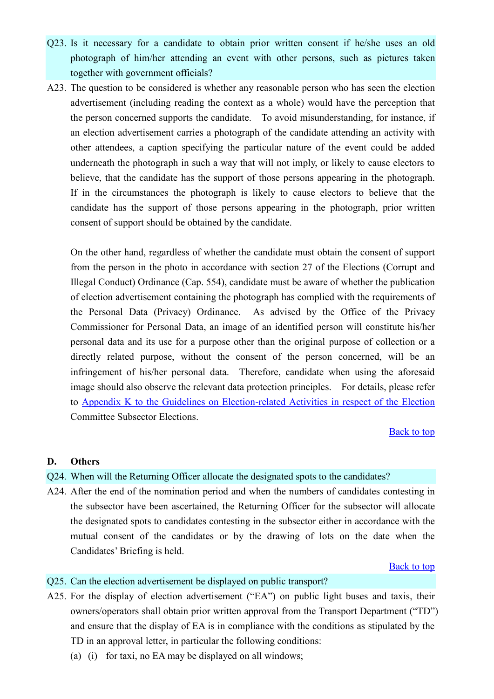- <span id="page-10-0"></span>Q23. Is it necessary for a candidate to obtain prior written consent if he/she uses an old photograph of him/her attending an event with other persons, such as pictures taken together with government officials?
- A23. The question to be considered is whether any reasonable person who has seen the election advertisement (including reading the context as a whole) would have the perception that the person concerned supports the candidate. To avoid misunderstanding, for instance, if an election advertisement carries a photograph of the candidate attending an activity with other attendees, a caption specifying the particular nature of the event could be added underneath the photograph in such a way that will not imply, or likely to cause electors to believe, that the candidate has the support of those persons appearing in the photograph. If in the circumstances the photograph is likely to cause electors to believe that the candidate has the support of those persons appearing in the photograph, prior written consent of support should be obtained by the candidate.

On the other hand, regardless of whether the candidate must obtain the consent of support from the person in the photo in accordance with section 27 of the Elections (Corrupt and Illegal Conduct) Ordinance (Cap. 554), candidate must be aware of whether the publication of election advertisement containing the photograph has complied with the requirements of the Personal Data (Privacy) Ordinance. As advised by the Office of the Privacy Commissioner for Personal Data, an image of an identified person will constitute his/her personal data and its use for a purpose other than the original purpose of collection or a directly related purpose, without the consent of the person concerned, will be an infringement of his/her personal data. Therefore, candidate when using the aforesaid image should also observe the relevant data protection principles. For details, please refer to Appendix K to [the Guidelines on Election-related Activities in respect of the Election](http://www.eac.gov.hk/pdf/ecse/en/2016ecse/guidelines/2016ecse_Appendix_k.pdf) Committee Subsector Elections.

## [Back to top](#page-0-0)

## **D. Others**

- <span id="page-10-1"></span>Q24. When will the Returning Officer allocate the designated spots to the candidates?
- A24. After the end of the nomination period and when the numbers of candidates contesting in the subsector have been ascertained, the Returning Officer for the subsector will allocate the designated spots to candidates contesting in the subsector either in accordance with the mutual consent of the candidates or by the drawing of lots on the date when the Candidates' Briefing is held.

#### [Back to top](#page-0-0)

#### <span id="page-10-2"></span>Q25. Can the election advertisement be displayed on public transport?

- A25. For the display of election advertisement ("EA") on public light buses and taxis, their owners/operators shall obtain prior written approval from the Transport Department ("TD") and ensure that the display of EA is in compliance with the conditions as stipulated by the TD in an approval letter, in particular the following conditions:
	- (a) (i) for taxi, no EA may be displayed on all windows;